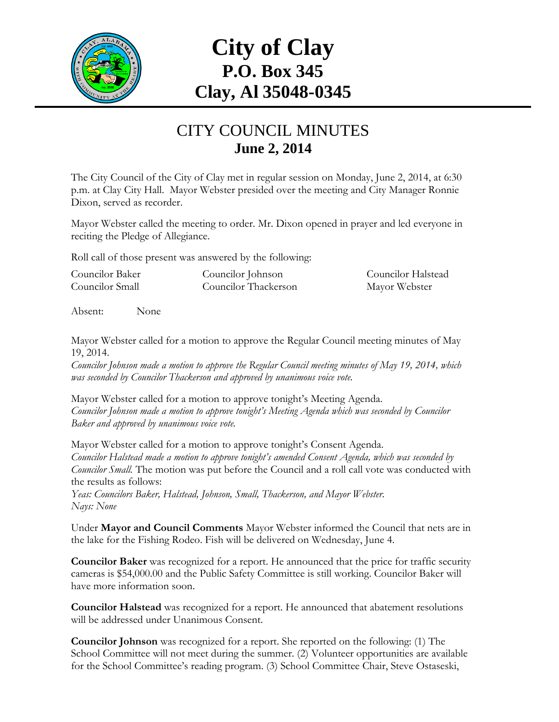

# **City of Clay P.O. Box 345 Clay, Al 35048-0345**

#### CITY COUNCIL MINUTES **June 2, 2014**

The City Council of the City of Clay met in regular session on Monday, June 2, 2014, at 6:30 p.m. at Clay City Hall. Mayor Webster presided over the meeting and City Manager Ronnie Dixon, served as recorder.

Mayor Webster called the meeting to order. Mr. Dixon opened in prayer and led everyone in reciting the Pledge of Allegiance.

Roll call of those present was answered by the following:

| Councilor Baker | Councilor Johnson    | Councilor Halstead |
|-----------------|----------------------|--------------------|
| Councilor Small | Councilor Thackerson | Mayor Webster      |

Absent: None

Mayor Webster called for a motion to approve the Regular Council meeting minutes of May 19, 2014.

*Councilor Johnson made a motion to approve the Regular Council meeting minutes of May 19, 2014, which was seconded by Councilor Thackerson and approved by unanimous voice vote.*

Mayor Webster called for a motion to approve tonight's Meeting Agenda. *Councilor Johnson made a motion to approve tonight's Meeting Agenda which was seconded by Councilor Baker and approved by unanimous voice vote.*

Mayor Webster called for a motion to approve tonight's Consent Agenda. *Councilor Halstead made a motion to approve tonight's amended Consent Agenda, which was seconded by Councilor Small.* The motion was put before the Council and a roll call vote was conducted with the results as follows:

*Yeas: Councilors Baker, Halstead, Johnson, Small, Thackerson, and Mayor Webster. Nays: None*

Under **Mayor and Council Comments** Mayor Webster informed the Council that nets are in the lake for the Fishing Rodeo. Fish will be delivered on Wednesday, June 4.

**Councilor Baker** was recognized for a report. He announced that the price for traffic security cameras is \$54,000.00 and the Public Safety Committee is still working. Councilor Baker will have more information soon.

**Councilor Halstead** was recognized for a report. He announced that abatement resolutions will be addressed under Unanimous Consent.

**Councilor Johnson** was recognized for a report. She reported on the following: (1) The School Committee will not meet during the summer. (2) Volunteer opportunities are available for the School Committee's reading program. (3) School Committee Chair, Steve Ostaseski,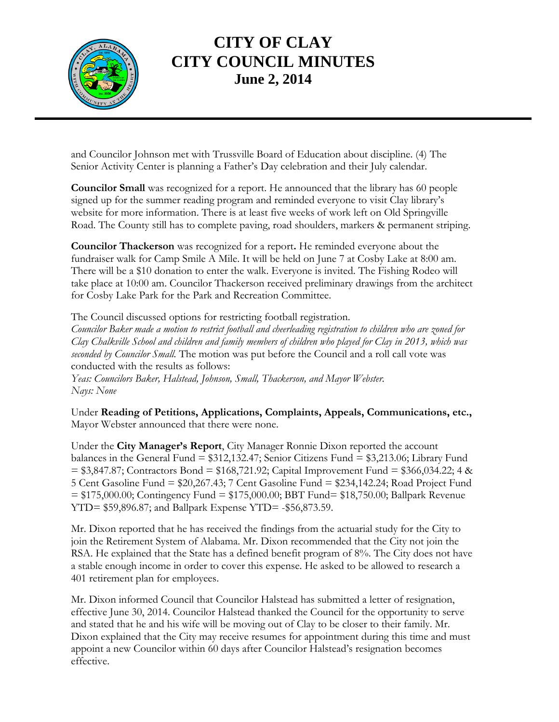

## **CITY OF CLAY CITY COUNCIL MINUTES June 2, 2014**

and Councilor Johnson met with Trussville Board of Education about discipline. (4) The Senior Activity Center is planning a Father's Day celebration and their July calendar.

**Councilor Small** was recognized for a report. He announced that the library has 60 people signed up for the summer reading program and reminded everyone to visit Clay library's website for more information. There is at least five weeks of work left on Old Springville Road. The County still has to complete paving, road shoulders, markers & permanent striping.

**Councilor Thackerson** was recognized for a report**.** He reminded everyone about the fundraiser walk for Camp Smile A Mile. It will be held on June 7 at Cosby Lake at 8:00 am. There will be a \$10 donation to enter the walk. Everyone is invited. The Fishing Rodeo will take place at 10:00 am. Councilor Thackerson received preliminary drawings from the architect for Cosby Lake Park for the Park and Recreation Committee.

The Council discussed options for restricting football registration. *Councilor Baker made a motion to restrict football and cheerleading registration to children who are zoned for Clay Chalkville School and children and family members of children who played for Clay in 2013, which was seconded by Councilor Small.* The motion was put before the Council and a roll call vote was conducted with the results as follows:

*Yeas: Councilors Baker, Halstead, Johnson, Small, Thackerson, and Mayor Webster. Nays: None*

Under **Reading of Petitions, Applications, Complaints, Appeals, Communications, etc.,** Mayor Webster announced that there were none.

Under the **City Manager's Report**, City Manager Ronnie Dixon reported the account balances in the General Fund = \$312,132.47; Senior Citizens Fund = \$3,213.06; Library Fund  $= $3,847.87$ ; Contractors Bond  $= $168,721.92$ ; Capital Improvement Fund  $= $366,034.22$ ; 4 & 5 Cent Gasoline Fund = \$20,267.43; 7 Cent Gasoline Fund = \$234,142.24; Road Project Fund = \$175,000.00; Contingency Fund = \$175,000.00; BBT Fund= \$18,750.00; Ballpark Revenue YTD= \$59,896.87; and Ballpark Expense YTD= -\$56,873.59.

Mr. Dixon reported that he has received the findings from the actuarial study for the City to join the Retirement System of Alabama. Mr. Dixon recommended that the City not join the RSA. He explained that the State has a defined benefit program of 8%. The City does not have a stable enough income in order to cover this expense. He asked to be allowed to research a 401 retirement plan for employees.

Mr. Dixon informed Council that Councilor Halstead has submitted a letter of resignation, effective June 30, 2014. Councilor Halstead thanked the Council for the opportunity to serve and stated that he and his wife will be moving out of Clay to be closer to their family. Mr. Dixon explained that the City may receive resumes for appointment during this time and must appoint a new Councilor within 60 days after Councilor Halstead's resignation becomes effective.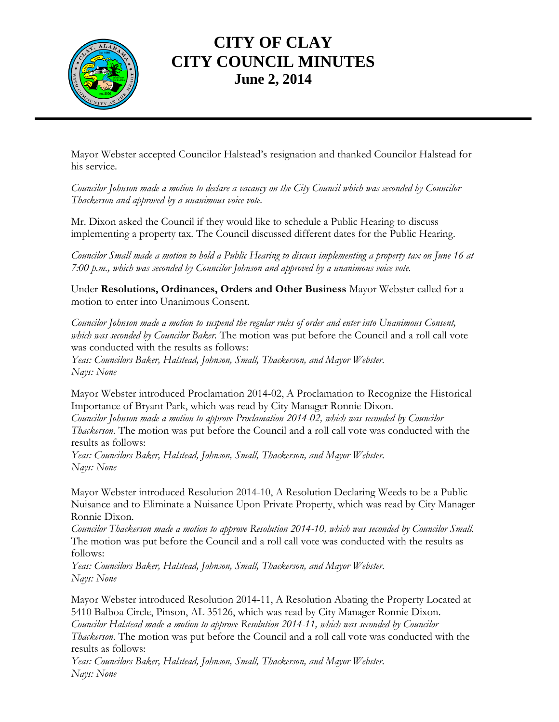

## **CITY OF CLAY CITY COUNCIL MINUTES June 2, 2014**

Mayor Webster accepted Councilor Halstead's resignation and thanked Councilor Halstead for his service.

*Councilor Johnson made a motion to declare a vacancy on the City Council which was seconded by Councilor Thackerson and approved by a unanimous voice vote.*

Mr. Dixon asked the Council if they would like to schedule a Public Hearing to discuss implementing a property tax. The Council discussed different dates for the Public Hearing.

*Councilor Small made a motion to hold a Public Hearing to discuss implementing a property tax on June 16 at 7:00 p.m., which was seconded by Councilor Johnson and approved by a unanimous voice vote.*

Under **Resolutions, Ordinances, Orders and Other Business** Mayor Webster called for a motion to enter into Unanimous Consent.

*Councilor Johnson made a motion to suspend the regular rules of order and enter into Unanimous Consent, which was seconded by Councilor Baker.* The motion was put before the Council and a roll call vote was conducted with the results as follows:

*Yeas: Councilors Baker, Halstead, Johnson, Small, Thackerson, and Mayor Webster. Nays: None*

Mayor Webster introduced Proclamation 2014-02, A Proclamation to Recognize the Historical Importance of Bryant Park, which was read by City Manager Ronnie Dixon.

*Councilor Johnson made a motion to approve Proclamation 2014-02, which was seconded by Councilor Thackerson.* The motion was put before the Council and a roll call vote was conducted with the results as follows:

*Yeas: Councilors Baker, Halstead, Johnson, Small, Thackerson, and Mayor Webster. Nays: None*

Mayor Webster introduced Resolution 2014-10, A Resolution Declaring Weeds to be a Public Nuisance and to Eliminate a Nuisance Upon Private Property, which was read by City Manager Ronnie Dixon.

*Councilor Thackerson made a motion to approve Resolution 2014-10, which was seconded by Councilor Small.*  The motion was put before the Council and a roll call vote was conducted with the results as follows:

*Yeas: Councilors Baker, Halstead, Johnson, Small, Thackerson, and Mayor Webster. Nays: None*

Mayor Webster introduced Resolution 2014-11, A Resolution Abating the Property Located at 5410 Balboa Circle, Pinson, AL 35126, which was read by City Manager Ronnie Dixon. *Councilor Halstead made a motion to approve Resolution 2014-11, which was seconded by Councilor Thackerson.* The motion was put before the Council and a roll call vote was conducted with the results as follows:

*Yeas: Councilors Baker, Halstead, Johnson, Small, Thackerson, and Mayor Webster. Nays: None*